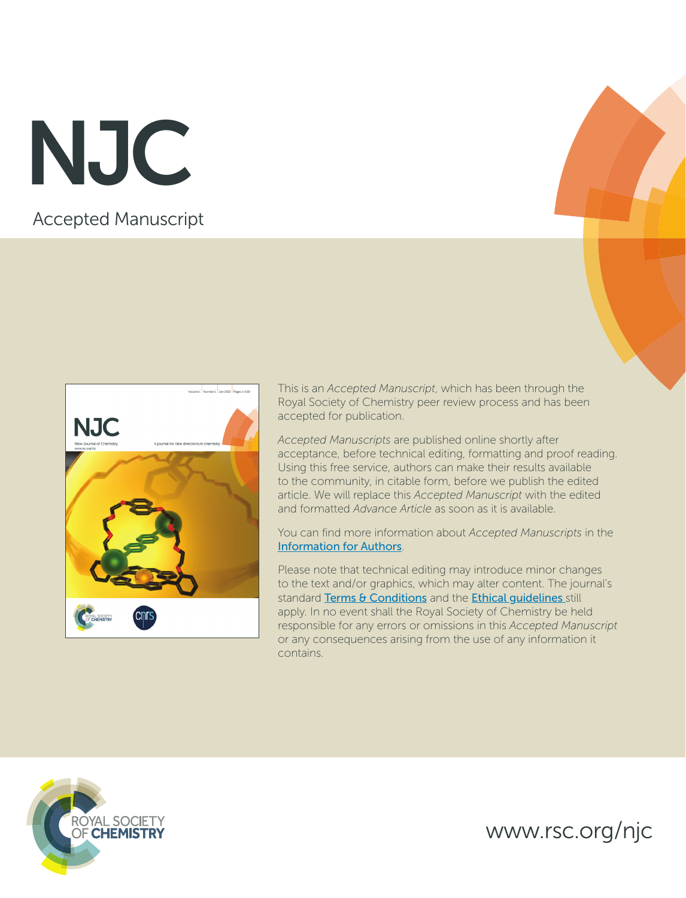Accepted Manuscript NJC



This is an *Accepted Manuscript*, which has been through the Royal Society of Chemistry peer review process and has been accepted for publication.

*Accepted Manuscripts* are published online shortly after acceptance, before technical editing, formatting and proof reading. Using this free service, authors can make their results available to the community, in citable form, before we publish the edited article. We will replace this *Accepted Manuscript* with the edited and formatted *Advance Article* as soon as it is available.

You can find more information about *Accepted Manuscripts* in the [Information for Authors](http://www.rsc.org/Publishing/Journals/guidelines/AuthorGuidelines/JournalPolicy/accepted_manuscripts.asp).

Please note that technical editing may introduce minor changes to the text and/or graphics, which may alter content. The journal's standard [Terms & Conditions](http://www.rsc.org/help/termsconditions.asp) and the **Ethical guidelines** still apply. In no event shall the Royal Society of Chemistry be held responsible for any errors or omissions in this *Accepted Manuscript* or any consequences arising from the use of any information it contains.



www.rsc.org/njc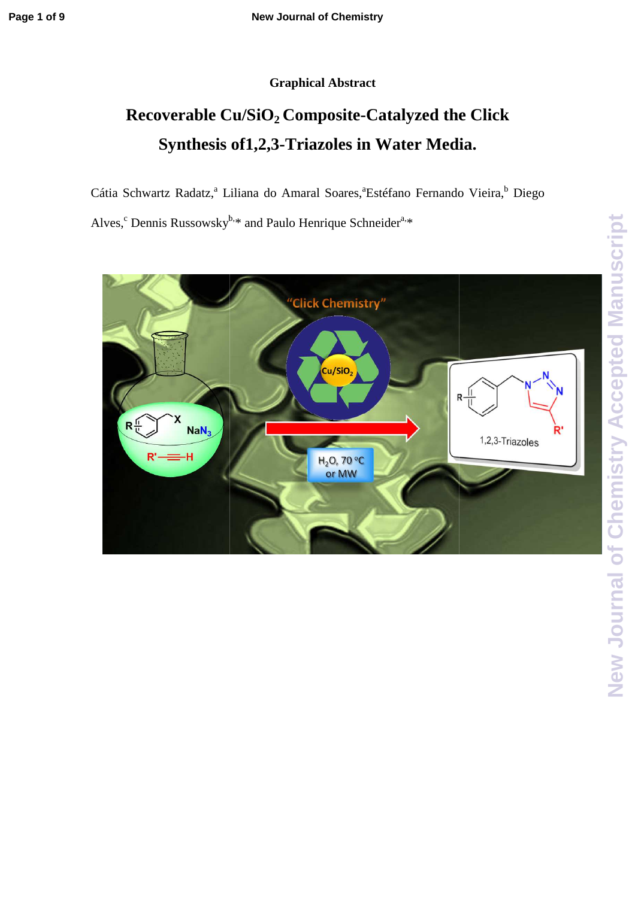### **Graphical Abstract**

# **Recoverable Cu/SiO <sup>2</sup>Composite-Catalyzed the Click**  bverable Cu/SiO<sub>2</sub> Composite-Catalyzed the **(**<br>Synthesis of1,2,3-Triazoles in Water Media.

Cátia Schwartz Radatz,<sup>a</sup> Liliana do Amaral Soares,<sup>a</sup>Estéfano Fernando Vieira,<sup>b</sup> Diego

Alves,<sup>c</sup> Dennis Russowsky<sup>b,\*</sup> and Paulo Henrique Schneider<sup>a,\*</sup>

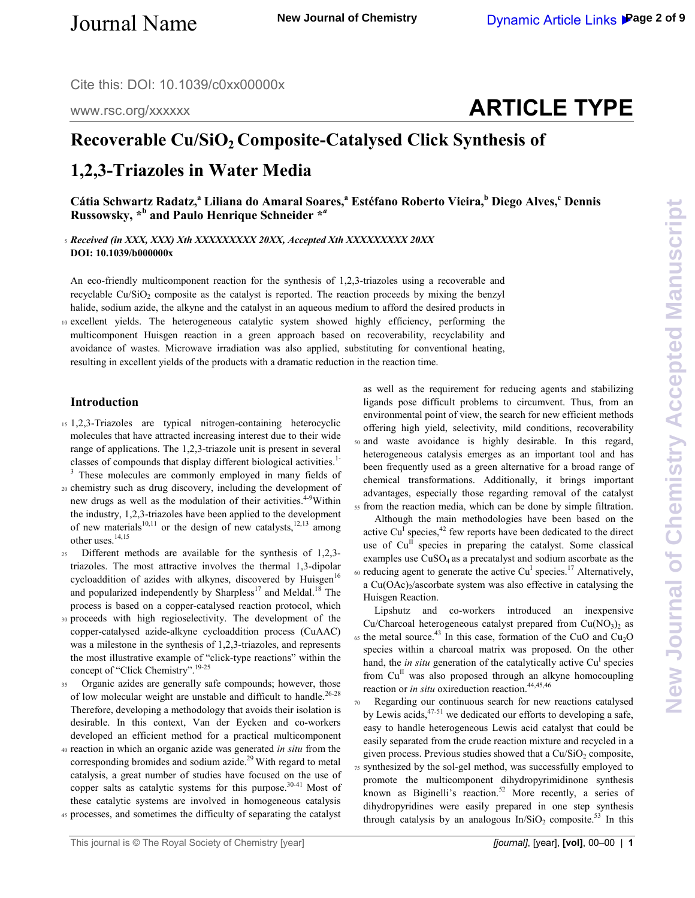Cite this: DOI: 10.1039/c0xx00000x

www.rsc.org/xxxxxx

# **ARTICLE TYPE**

## **Recoverable Cu/SiO2 Composite-Catalysed Click Synthesis of**

## **1,2,3-Triazoles in Water Media**

**Cátia Schwartz Radatz,<sup>a</sup> Liliana do Amaral Soares,<sup>a</sup> Estéfano Roberto Vieira,<sup>b</sup> Diego Alves,<sup>c</sup> Dennis Russowsky, \*<sup>b</sup> and Paulo Henrique Schneider \****<sup>a</sup>*

<sup>5</sup>*Received (in XXX, XXX) Xth XXXXXXXXX 20XX, Accepted Xth XXXXXXXXX 20XX*  **DOI: 10.1039/b000000x** 

An eco-friendly multicomponent reaction for the synthesis of 1,2,3-triazoles using a recoverable and recyclable Cu/SiO<sub>2</sub> composite as the catalyst is reported. The reaction proceeds by mixing the benzyl halide, sodium azide, the alkyne and the catalyst in an aqueous medium to afford the desired products in

<sup>10</sup>excellent yields. The heterogeneous catalytic system showed highly efficiency, performing the multicomponent Huisgen reaction in a green approach based on recoverability, recyclability and avoidance of wastes. Microwave irradiation was also applied, substituting for conventional heating, resulting in excellent yields of the products with a dramatic reduction in the reaction time.

#### **Introduction**

<sup>15</sup>1,2,3-Triazoles are typical nitrogen-containing heterocyclic molecules that have attracted increasing interest due to their wide range of applications. The 1,2,3-triazole unit is present in several classes of compounds that display different biological activities.<sup>1-</sup> <sup>3</sup> These molecules are commonly employed in many fields of

<sup>20</sup>chemistry such as drug discovery, including the development of new drugs as well as the modulation of their activities.<sup>4-9</sup>Within the industry, 1,2,3-triazoles have been applied to the development of new materials<sup>10,11</sup> or the design of new catalysts,<sup>12,13</sup> among other uses.14,15

- <sup>25</sup>Different methods are available for the synthesis of 1,2,3 triazoles. The most attractive involves the thermal 1,3-dipolar cycloaddition of azides with alkynes, discovered by Huisgen $16$ and popularized independently by  $Sharpless^{17}$  and Meldal.<sup>18</sup> The process is based on a copper-catalysed reaction protocol, which
- 30 proceeds with high regioselectivity. The development of the copper-catalysed azide-alkyne cycloaddition process (CuAAC) was a milestone in the synthesis of 1,2,3-triazoles, and represents the most illustrative example of "click-type reactions" within the concept of "Click Chemistry".<sup>19-25</sup>
- 35 Organic azides are generally safe compounds; however, those of low molecular weight are unstable and difficult to handle.<sup>26-28</sup> Therefore, developing a methodology that avoids their isolation is desirable. In this context, Van der Eycken and co-workers developed an efficient method for a practical multicomponent
- <sup>40</sup>reaction in which an organic azide was generated *in situ* from the corresponding bromides and sodium azide. $29$  With regard to metal catalysis, a great number of studies have focused on the use of copper salts as catalytic systems for this purpose.<sup>30-41</sup> Most of these catalytic systems are involved in homogeneous catalysis
- <sup>45</sup>processes, and sometimes the difficulty of separating the catalyst

as well as the requirement for reducing agents and stabilizing ligands pose difficult problems to circumvent. Thus, from an environmental point of view, the search for new efficient methods offering high yield, selectivity, mild conditions, recoverability <sup>50</sup>and waste avoidance is highly desirable. In this regard, heterogeneous catalysis emerges as an important tool and has been frequently used as a green alternative for a broad range of chemical transformations. Additionally, it brings important advantages, especially those regarding removal of the catalyst <sup>55</sup>from the reaction media, which can be done by simple filtration.

 Although the main methodologies have been based on the active Cu<sup>I</sup> species,<sup>42</sup> few reports have been dedicated to the direct use of  $Cu<sup>H</sup>$  species in preparing the catalyst. Some classical examples use  $CuSO<sub>4</sub>$  as a precatalyst and sodium ascorbate as the  $\omega$  reducing agent to generate the active Cu<sup>I</sup> species.<sup>17</sup> Alternatively, a  $Cu(OAc)<sub>2</sub>/ascorbate system was also effective in catalysing the$ Huisgen Reaction.

 Lipshutz and co-workers introduced an inexpensive Cu/Charcoal heterogeneous catalyst prepared from  $Cu(NO<sub>3</sub>)<sub>2</sub>$  as 65 the metal source.<sup>43</sup> In this case, formation of the CuO and Cu<sub>2</sub>O species within a charcoal matrix was proposed. On the other hand, the *in situ* generation of the catalytically active  $Cu<sup>T</sup>$  species from  $Cu<sup>II</sup>$  was also proposed through an alkyne homocoupling reaction or *in situ* oxireduction reaction.<sup>44,45,46</sup>

<sup>70</sup>Regarding our continuous search for new reactions catalysed by Lewis acids,  $47-51$  we dedicated our efforts to developing a safe, easy to handle heterogeneous Lewis acid catalyst that could be easily separated from the crude reaction mixture and recycled in a given process. Previous studies showed that a  $Cu/SiO<sub>2</sub>$  composite, <sup>75</sup>synthesized by the sol-gel method, was successfully employed to promote the multicomponent dihydropyrimidinone synthesis known as Biginelli's reaction.<sup>52</sup> More recently, a series of dihydropyridines were easily prepared in one step synthesis through catalysis by an analogous  $In/SiO<sub>2</sub>$  composite.<sup>53</sup> In this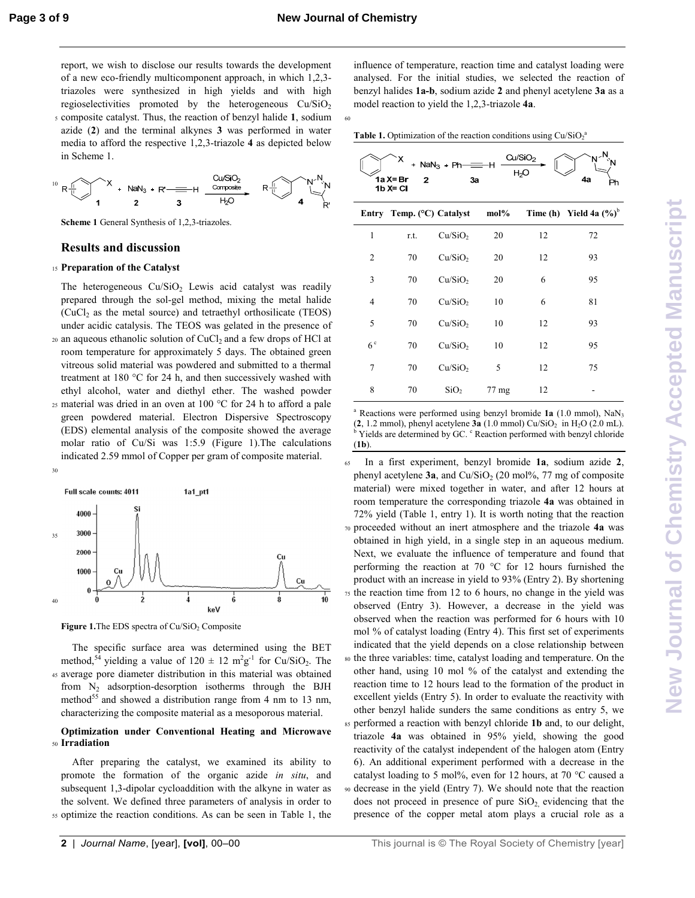60

report, we wish to disclose our results towards the development of a new eco-friendly multicomponent approach, in which 1,2,3 triazoles were synthesized in high yields and with high regioselectivities promoted by the heterogeneous  $Cu/SiO<sub>2</sub>$ <sup>5</sup>composite catalyst. Thus, the reaction of benzyl halide **1**, sodium azide (**2**) and the terminal alkynes **3** was performed in water media to afford the respective 1,2,3-triazole **4** as depicted below in Scheme 1.



**Scheme 1** General Synthesis of 1,2,3-triazoles.

#### **Results and discussion**

#### <sup>15</sup>**Preparation of the Catalyst**

30

The heterogeneous  $Cu/SiO<sub>2</sub>$  Lewis acid catalyst was readily prepared through the sol-gel method, mixing the metal halide  $(CuCl<sub>2</sub>$  as the metal source) and tetraethyl orthosilicate (TEOS) under acidic catalysis. The TEOS was gelated in the presence of  $20$  an aqueous ethanolic solution of CuCl<sub>2</sub> and a few drops of HCl at

- room temperature for approximately 5 days. The obtained green vitreous solid material was powdered and submitted to a thermal treatment at 180 °C for 24 h, and then successively washed with ethyl alcohol, water and diethyl ether. The washed powder
- 25 material was dried in an oven at 100  $^{\circ}$ C for 24 h to afford a pale green powdered material. Electron Dispersive Spectroscopy (EDS) elemental analysis of the composite showed the average molar ratio of Cu/Si was 1:5.9 (Figure 1).The calculations indicated 2.59 mmol of Copper per gram of composite material.



**Figure 1.**The EDS spectra of Cu/SiO<sub>2</sub> Composite

 The specific surface area was determined using the BET method,<sup>54</sup> yielding a value of  $120 \pm 12 \text{ m}^2 \text{g}^{-1}$  for Cu/SiO<sub>2</sub>. The <sup>45</sup>average pore diameter distribution in this material was obtained from  $N_2$  adsorption-desorption isotherms through the BJH method<sup>55</sup> and showed a distribution range from 4 nm to 13 nm, characterizing the composite material as a mesoporous material.

#### **Optimization under Conventional Heating and Microwave**  <sup>50</sup>**Irradiation**

 After preparing the catalyst, we examined its ability to promote the formation of the organic azide *in situ*, and subsequent 1,3-dipolar cycloaddition with the alkyne in water as the solvent. We defined three parameters of analysis in order to <sup>55</sup>optimize the reaction conditions. As can be seen in Table 1, the

influence of temperature, reaction time and catalyst loading were analysed. For the initial studies, we selected the reaction of benzyl halides **1a-b**, sodium azide **2** and phenyl acetylene **3a** as a model reaction to yield the 1,2,3-triazole **4a**.

**Table 1.** Optimization of the reaction conditions using  $Cu/SiO<sub>2</sub><sup>2</sup>$ 

| 'N∽ <sup>N</sup><br>Cu/SiO <sub>2</sub><br>х<br>+ $NaN3 + Ph$ -<br>$=$ H<br>H <sub>2</sub> O<br>1a X= Br<br>4а<br>3a<br>$\mathbf{z}$<br>Ph<br>$1b X = C1$ |      |                                    |       |    |                            |  |  |  |
|-----------------------------------------------------------------------------------------------------------------------------------------------------------|------|------------------------------------|-------|----|----------------------------|--|--|--|
|                                                                                                                                                           |      | Entry Temp. $(^{\circ}C)$ Catalyst | mol%  |    | Time (h) Yield 4a $(\%)^b$ |  |  |  |
| 1                                                                                                                                                         | r.t. | Cu/SiO <sub>2</sub>                | 20    | 12 | 72                         |  |  |  |
| $\overline{2}$                                                                                                                                            | 70   | Cu/SiO <sub>2</sub>                | 20    | 12 | 93                         |  |  |  |
| 3                                                                                                                                                         | 70   | Cu/SiO <sub>2</sub>                | 20    | 6  | 95                         |  |  |  |
| 4                                                                                                                                                         | 70   | Cu/SiO <sub>2</sub>                | 10    | 6  | 81                         |  |  |  |
| 5                                                                                                                                                         | 70   | Cu/SiO <sub>2</sub>                | 10    | 12 | 93                         |  |  |  |
| 6 <sup>c</sup>                                                                                                                                            | 70   | Cu/SiO <sub>2</sub>                | 10    | 12 | 95                         |  |  |  |
| 7                                                                                                                                                         | 70   | Cu/SiO <sub>2</sub>                | 5     | 12 | 75                         |  |  |  |
| 8                                                                                                                                                         | 70   | SiO <sub>2</sub>                   | 77 mg | 12 |                            |  |  |  |

<sup>a</sup> Reactions were performed using benzyl bromide 1a (1.0 mmol), NaN<sub>3</sub>  $(2, 1.2 \text{ mmol})$ , phenyl acetylene  $3a(1.0 \text{ mmol})$  Cu/SiO<sub>2</sub> in H<sub>2</sub>O (2.0 mL). <sup>b</sup> Yields are determined by GC. <sup>c</sup> Reaction performed with benzyl chloride (**1b**).

<sup>65</sup>In a first experiment, benzyl bromide **1a**, sodium azide **2**, phenyl acetylene  $3a$ , and  $Cu/SiO<sub>2</sub>$  (20 mol%, 77 mg of composite material) were mixed together in water, and after 12 hours at room temperature the corresponding triazole **4a** was obtained in 72% yield (Table 1, entry 1). It is worth noting that the reaction <sup>70</sup>proceeded without an inert atmosphere and the triazole **4a** was obtained in high yield, in a single step in an aqueous medium. Next, we evaluate the influence of temperature and found that performing the reaction at 70 °C for 12 hours furnished the product with an increase in yield to 93% (Entry 2). By shortening  $75$  the reaction time from 12 to 6 hours, no change in the yield was observed (Entry 3). However, a decrease in the yield was observed when the reaction was performed for 6 hours with 10 mol % of catalyst loading (Entry 4). This first set of experiments indicated that the yield depends on a close relationship between <sup>80</sup>the three variables: time, catalyst loading and temperature. On the other hand, using 10 mol % of the catalyst and extending the reaction time to 12 hours lead to the formation of the product in excellent yields (Entry 5). In order to evaluate the reactivity with other benzyl halide sunders the same conditions as entry 5, we 85 performed a reaction with benzyl chloride 1b and, to our delight, triazole **4a** was obtained in 95% yield, showing the good reactivity of the catalyst independent of the halogen atom (Entry 6). An additional experiment performed with a decrease in the catalyst loading to 5 mol%, even for 12 hours, at 70 °C caused a <sup>90</sup>decrease in the yield (Entry 7). We should note that the reaction does not proceed in presence of pure  $SiO<sub>2</sub>$  evidencing that the presence of the copper metal atom plays a crucial role as a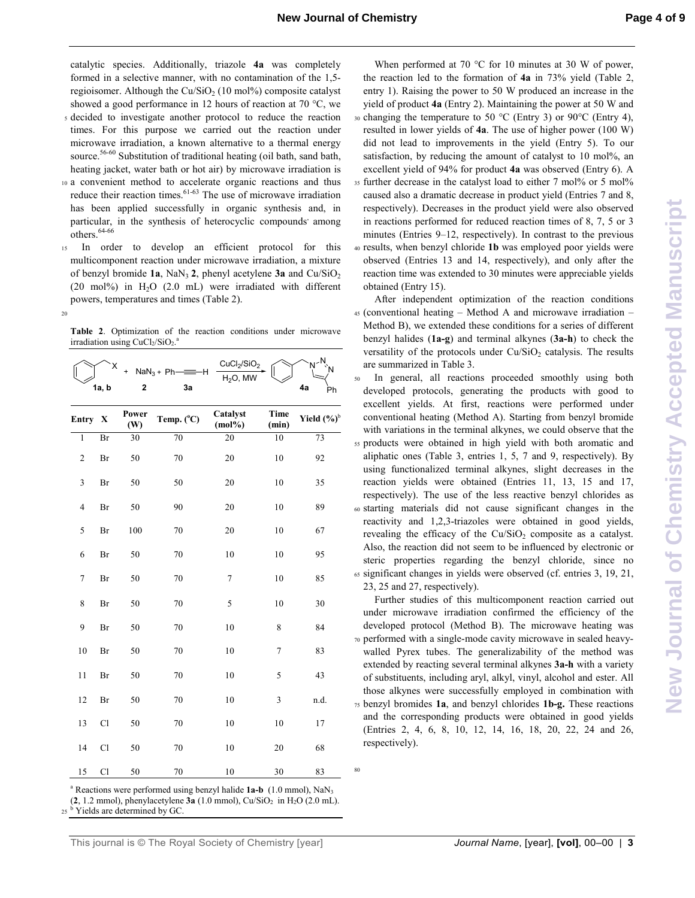catalytic species. Additionally, triazole **4a** was completely formed in a selective manner, with no contamination of the 1,5 regioisomer. Although the  $Cu/SiO<sub>2</sub>$  (10 mol%) composite catalyst showed a good performance in 12 hours of reaction at 70 °C, we

- <sup>5</sup>decided to investigate another protocol to reduce the reaction times. For this purpose we carried out the reaction under microwave irradiation, a known alternative to a thermal energy source.<sup>56-60</sup> Substitution of traditional heating (oil bath, sand bath, heating jacket, water bath or hot air) by microwave irradiation is
- <sup>10</sup>a convenient method to accelerate organic reactions and thus reduce their reaction times. $61-63$  The use of microwave irradiation has been applied successfully in organic synthesis and, in particular, in the synthesis of heterocyclic compounds among others.<sup>64-66</sup>
- 15 In order to develop an efficient protocol for this multicomponent reaction under microwave irradiation, a mixture of benzyl bromide 1a, NaN<sub>3</sub> 2, phenyl acetylene 3a and Cu/SiO<sub>2</sub> (20 mol%) in  $H<sub>2</sub>O$  (2.0 mL) were irradiated with different powers, temperatures and times (Table 2).
- 20

**Table 2**. Optimization of the reaction conditions under microwave irradiation using CuCl<sub>2</sub>/SiO<sub>2</sub>.<sup>a</sup>

|                | Χ<br>1a, b | $\overline{\mathbf{c}}$ | $NaN3 + Ph$<br>۰H<br>3a | CuCl <sub>2</sub> /SiO <sub>2</sub><br>$H2O$ , MW |                      | -N,<br>Ń<br>4а<br>Ph |
|----------------|------------|-------------------------|-------------------------|---------------------------------------------------|----------------------|----------------------|
| <b>Entry</b>   | X          | Power<br>(W)            | Temp. (°C)              | Catalyst<br>$(mol\%)$                             | <b>Time</b><br>(min) | Yield $(\%)^b$       |
| $\overline{1}$ | Br         | 30                      | 70                      | 20                                                | 10                   | 73                   |
| $\overline{c}$ | Br         | 50                      | $70\,$                  | $20\,$                                            | 10                   | 92                   |
| 3              | Br         | 50                      | 50                      | 20                                                | 10                   | 35                   |
| $\overline{4}$ | Br         | 50                      | 90                      | 20                                                | 10                   | 89                   |
| 5              | Br         | 100                     | 70                      | 20                                                | 10                   | 67                   |
| 6              | Br         | 50                      | 70                      | 10                                                | 10                   | 95                   |
| $\tau$         | Br         | 50                      | 70                      | $\tau$                                            | 10                   | 85                   |
| 8              | Br         | 50                      | 70                      | 5                                                 | 10                   | 30                   |
| 9              | Br         | 50                      | 70                      | 10                                                | 8                    | 84                   |
| 10             | Br         | 50                      | 70                      | 10                                                | $\tau$               | 83                   |
| 11             | Br         | 50                      | 70                      | 10                                                | 5                    | 43                   |
| 12             | Br         | 50                      | 70                      | 10                                                | 3                    | n.d.                 |
| 13             | <b>Cl</b>  | 50                      | 70                      | 10                                                | 10                   | 17                   |
| 14             | <b>Cl</b>  | 50                      | 70                      | 10                                                | 20                   | 68                   |
| 15             | <b>Cl</b>  | 50                      | 70                      | 10                                                | 30                   | 83                   |

<sup>a</sup> Reactions were performed using benzyl halide 1a-b (1.0 mmol), NaN<sub>3</sub>

80

 $(2, 1.2 \text{ mmol})$ , phenylacetylene  $3a(1.0 \text{ mmol})$ , Cu/SiO<sub>2</sub> in H<sub>2</sub>O (2.0 mL).

 $25<sup>b</sup>$  Yields are determined by GC.

When performed at 70 °C for 10 minutes at 30 W of power, the reaction led to the formation of **4a** in 73% yield (Table 2, entry 1). Raising the power to 50 W produced an increase in the yield of product **4a** (Entry 2). Maintaining the power at 50 W and 30 changing the temperature to 50  $^{\circ}$ C (Entry 3) or 90 $^{\circ}$ C (Entry 4), resulted in lower yields of **4a**. The use of higher power (100 W) did not lead to improvements in the yield (Entry 5). To our satisfaction, by reducing the amount of catalyst to 10 mol%, an excellent yield of 94% for product **4a** was observed (Entry 6). A

35 further decrease in the catalyst load to either 7 mol% or 5 mol% caused also a dramatic decrease in product yield (Entries 7 and 8, respectively). Decreases in the product yield were also observed in reactions performed for reduced reaction times of 8, 7, 5 or 3 minutes (Entries 9–12, respectively). In contrast to the previous

<sup>40</sup>results, when benzyl chloride **1b** was employed poor yields were observed (Entries 13 and 14, respectively), and only after the reaction time was extended to 30 minutes were appreciable yields obtained (Entry 15).

 After independent optimization of the reaction conditions <sup>45</sup>(conventional heating – Method A and microwave irradiation – Method B), we extended these conditions for a series of different

- benzyl halides (**1a-g**) and terminal alkynes (**3a-h**) to check the versatility of the protocols under  $Cu/SiO<sub>2</sub>$  catalysis. The results are summarized in Table 3.
- <sup>50</sup>In general, all reactions proceeded smoothly using both developed protocols, generating the products with good to excellent yields. At first, reactions were performed under conventional heating (Method A). Starting from benzyl bromide with variations in the terminal alkynes, we could observe that the 55 products were obtained in high yield with both aromatic and aliphatic ones (Table 3, entries 1, 5, 7 and 9, respectively). By
- using functionalized terminal alkynes, slight decreases in the reaction yields were obtained (Entries 11, 13, 15 and 17, respectively). The use of the less reactive benzyl chlorides as <sup>60</sup>starting materials did not cause significant changes in the reactivity and 1,2,3-triazoles were obtained in good yields, revealing the efficacy of the  $Cu/SiO<sub>2</sub>$  composite as a catalyst. Also, the reaction did not seem to be influenced by electronic or
- steric properties regarding the benzyl chloride, since no <sup>65</sup>significant changes in yields were observed (cf. entries 3, 19, 21, 23, 25 and 27, respectively).

 Further studies of this multicomponent reaction carried out under microwave irradiation confirmed the efficiency of the developed protocol (Method B). The microwave heating was 70 performed with a single-mode cavity microwave in sealed heavywalled Pyrex tubes. The generalizability of the method was extended by reacting several terminal alkynes **3a-h** with a variety of substituents, including aryl, alkyl, vinyl, alcohol and ester. All those alkynes were successfully employed in combination with <sup>75</sup>benzyl bromides **1a**, and benzyl chlorides **1b-g.** These reactions and the corresponding products were obtained in good yields (Entries 2, 4, 6, 8, 10, 12, 14, 16, 18, 20, 22, 24 and 26, respectively).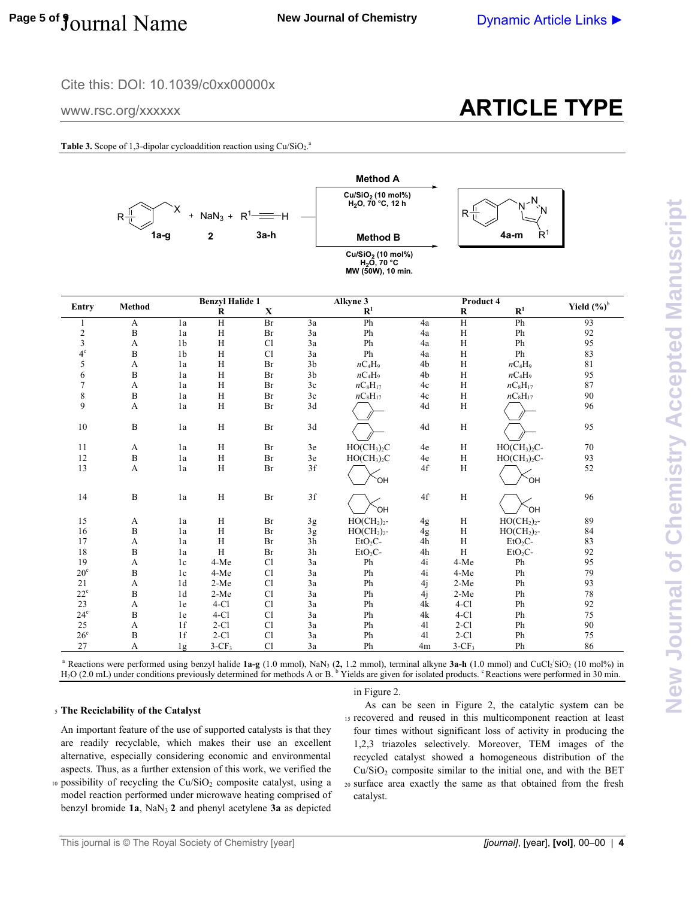### Cite this: DOI: 10.1039/c0xx00000x

www.rsc.org/xxxxxx

# **ARTICLE TYPE**

Table 3. Scope of 1,3-dipolar cycloaddition reaction using Cu/SiO<sub>2</sub>.<sup>a</sup>



| <b>Entry</b>   |               |                | <b>Benzyl Halide 1</b>    |             |                | Alkyne 3                            |               | Product 4      |              |                |
|----------------|---------------|----------------|---------------------------|-------------|----------------|-------------------------------------|---------------|----------------|--------------|----------------|
|                | <b>Method</b> |                | R                         | $\mathbf X$ |                | $\mathbf{R}^1$                      |               | $\bf R$        | ${\bf R}^1$  | Yield $(\%)^b$ |
| 1              | A             | 1a             | $\overline{H}$            | Br          | 3a             | Ph                                  | 4a            | $\overline{H}$ | Ph           | 93             |
|                | $\, {\bf B}$  | 1a             | H                         | Br          | 3a             | Ph                                  | 4a            | $\rm H$        | Ph           | 92             |
| $\frac{2}{3}$  | A             | 1 <sub>b</sub> | H                         | <b>Cl</b>   | 3a             | Ph                                  | 4a            | $\rm H$        | Ph           | 95             |
| $4^\circ$      | $\, {\bf B}$  | 1 <sub>b</sub> | H                         | Cl          | 3a             | Ph                                  | 4a            | $\mathbf H$    | Ph           | 83             |
| 5              | A             | 1a             | H                         | Br          | 3 <sub>b</sub> | $nC_4H_9$                           | 4b            | $\rm H$        | $nC_4H_9$    | 81             |
| 6              | $\mathbf{B}$  | 1a             | H                         | Br          | 3 <sub>b</sub> | $nC_4H_9$                           | 4b            | H              | $nC_4H_9$    | 95             |
| $\overline{7}$ | A             | 1a             | H                         | Br          | 3c             | $nC_8H_{17}$                        | 4c            | $\rm H$        | $nC_8H_{17}$ | 87             |
| $\,$ $\,$      | $\, {\bf B}$  | 1a             | H                         | Br          | 3c             | $nC_8H_{17}$                        | 4c            | $\rm H$        | $nC_8H_{17}$ | 90             |
| 9              | A             | 1a             | H                         | Br          | 3d             |                                     | 4d            | H              |              | 96             |
| 10             | $\mathbf{B}$  | 1a             | H                         | Br          | 3d             |                                     | $4\mathrm{d}$ | $\, {\rm H}$   |              | 95             |
| 11             | A             | 1a             | H                         | Br          | 3e             | HO(CH <sub>3</sub> ) <sub>2</sub> C | 4e            | H              | $HO(CH3)2C-$ | 70             |
| 12             | $\, {\bf B}$  | 1a             | H                         | Br          | 3e             | $HO(CH_3)_2C$                       | 4e            | H              | $HO(CH3)2C-$ | 93             |
| 13             | A             | 1a             | H                         | Br          | 3f             | `OH                                 | 4f            | H              | `OH          | 52             |
| 14             | $\, {\bf B}$  | 1a             | $\boldsymbol{\mathrm{H}}$ | Br          | 3f             | <b>OH</b>                           | 4f            | $\, {\rm H}$   | `OH          | 96             |
| 15             | A             | 1a             | H                         | Br          | 3g             | $HO(CH2)2$ -                        | 4g            | H              | $HO(CH2)2$ - | 89             |
| 16             | $\, {\bf B}$  | 1a             | H                         | Br          | 3g             | $HO(CH2)2$ -                        | 4g            | H              | $HO(CH2)2$ - | 84             |
| 17             | A             | 1a             | H                         | Br          | 3h             | $EtO2C-$                            | 4h            | H              | $EtO2C-$     | 83             |
| 18             | $\mathbf{B}$  | 1a             | H                         | Br          | 3h             | $EtO2C-$                            | 4h            | H              | $EtO2C-$     | 92             |
| 19             | A             | 1c             | 4-Me                      | <b>Cl</b>   | 3a             | Ph                                  | 4i            | 4-Me           | Ph           | 95             |
| $20^{\circ}$   | B             | 1c             | 4-Me                      | <b>Cl</b>   | 3a             | Ph                                  | 4i            | 4-Me           | Ph           | 79             |
| 21             | A             | 1 <sub>d</sub> | $2-Me$                    | <b>Cl</b>   | 3a             | Ph                                  | 4j            | $2-Me$         | Ph           | 93             |
| $22^{\rm c}$   | $\mathbf B$   | 1 <sub>d</sub> | $2-Me$                    | <b>Cl</b>   | 3a             | Ph                                  | 4j            | $2-Me$         | Ph           | 78             |
| 23             | A             | 1e             | $4-Cl$                    | <b>Cl</b>   | 3a             | Ph                                  | 4k            | $4-Cl$         | Ph           | 92             |
| $24^{\circ}$   | $\, {\bf B}$  | 1e             | $4-Cl$                    | <b>Cl</b>   | 3a             | Ph                                  | 4k            | $4-Cl$         | Ph           | 75             |
| 25             | A             | 1f             | $2-Cl$                    | <b>Cl</b>   | 3a             | Ph                                  | 41            | $2-C1$         | Ph           | 90             |
| $26^{\circ}$   | B             | 1f             | $2-Cl$                    | <b>Cl</b>   | 3a             | Ph                                  | 41            | $2-C1$         | Ph           | 75             |
| 27             | А             | 1g             | $3-CF_3$                  | Cl          | 3a             | Ph                                  | 4m            | $3-CF3$        | Ph           | 86             |

<sup>a</sup> Reactions were performed using benzyl halide **1a-g** (1.0 mmol), NaN<sub>3</sub> (2, 1.2 mmol), terminal alkyne 3a-h (1.0 mmol) and CuCl<sub>2</sub><sup>(</sup>SiO<sub>2</sub> (10 mol%) in H<sub>2</sub>O (2.0 mL) under conditions previously determined for methods A or B. <sup>b</sup> Yields are given for isolated products. <sup>e</sup> Reactions were performed in 30 min.

#### <sup>5</sup>**The Reciclability of the Catalyst**

An important feature of the use of supported catalysts is that they are readily recyclable, which makes their use an excellent alternative, especially considering economic and environmental aspects. Thus, as a further extension of this work, we verified the

10 possibility of recycling the  $Cu/SiO<sub>2</sub>$  composite catalyst, using a model reaction performed under microwave heating comprised of benzyl bromide  $1a$ , NaN<sub>3</sub>  $2$  and phenyl acetylene  $3a$  as depicted

in Figure 2.

 As can be seen in Figure 2, the catalytic system can be 15 recovered and reused in this multicomponent reaction at least four times without significant loss of activity in producing the 1,2,3 triazoles selectively. Moreover, TEM images of the recycled catalyst showed a homogeneous distribution of the  $Cu/SiO<sub>2</sub>$  composite similar to the initial one, and with the BET <sup>20</sup>surface area exactly the same as that obtained from the fresh catalyst.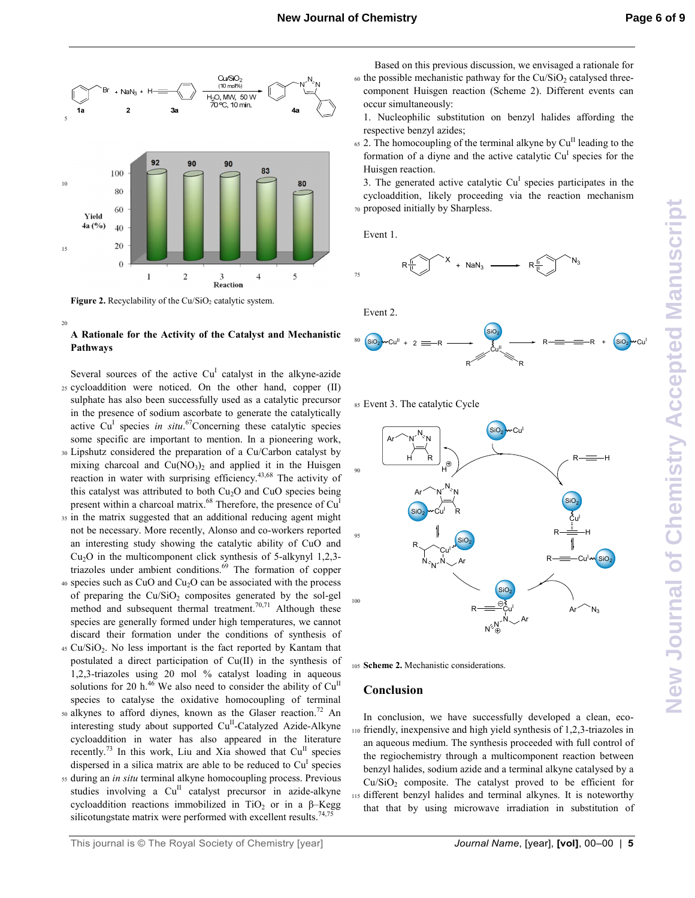

Figure 2. Recyclability of the Cu/SiO<sub>2</sub> catalytic system.

 $20$ 

#### **A Rationale for the Activity of the Catalyst and Mechanistic Pathways**

Several sources of the active  $Cu<sup>I</sup>$  catalyst in the alkyne-azide <sup>25</sup>cycloaddition were noticed. On the other hand, copper (II) sulphate has also been successfully used as a catalytic precursor in the presence of sodium ascorbate to generate the catalytically active Cu<sup>I</sup> species *in situ*.<sup>67</sup>Concerning these catalytic species some specific are important to mention. In a pioneering work,

- <sup>30</sup>Lipshutz considered the preparation of a Cu/Carbon catalyst by mixing charcoal and  $Cu(NO<sub>3</sub>)<sub>2</sub>$  and applied it in the Huisgen reaction in water with surprising efficiency.43,68 The activity of this catalyst was attributed to both  $Cu<sub>2</sub>O$  and  $CuO$  species being present within a charcoal matrix.<sup>68</sup> Therefore, the presence of Cu<sup>I</sup>
- <sup>35</sup>in the matrix suggested that an additional reducing agent might not be necessary. More recently, Alonso and co-workers reported an interesting study showing the catalytic ability of CuO and  $Cu<sub>2</sub>O$  in the multicomponent click synthesis of 5-alkynyl 1,2,3triazoles under ambient conditions.<sup>69</sup> The formation of copper
- 40 species such as CuO and Cu<sub>2</sub>O can be associated with the process of preparing the  $Cu/SiO<sub>2</sub>$  composites generated by the sol-gel method and subsequent thermal treatment.<sup>70,71</sup> Although these species are generally formed under high temperatures, we cannot discard their formation under the conditions of synthesis of
- $45 \text{ Cu/SiO}_2$ . No less important is the fact reported by Kantam that postulated a direct participation of Cu(II) in the synthesis of 1,2,3-triazoles using 20 mol % catalyst loading in aqueous solutions for 20 h.<sup>46</sup> We also need to consider the ability of  $Cu<sup>H</sup>$ species to catalyse the oxidative homocoupling of terminal
- $50$  alkynes to afford diynes, known as the Glaser reaction.<sup>72</sup> An interesting study about supported Cu<sup>II</sup>-Catalyzed Azide-Alkyne cycloaddition in water has also appeared in the literature recently.<sup>73</sup> In this work, Liu and Xia showed that  $Cu<sup>H</sup>$  species dispersed in a silica matrix are able to be reduced to  $Cu<sup>I</sup>$  species
- <sup>55</sup>during an *in situ* terminal alkyne homocoupling process. Previous studies involving a Cu<sup>II</sup> catalyst precursor in azide-alkyne cycloaddition reactions immobilized in  $TiO<sub>2</sub>$  or in a β-Kegg silicotungstate matrix were performed with excellent results.<sup>74,75</sup>
- $\omega$  the possible mechanistic pathway for the Cu/SiO<sub>2</sub> catalysed threecomponent Huisgen reaction (Scheme 2). Different events can occur simultaneously:
	- 1. Nucleophilic substitution on benzyl halides affording the respective benzyl azides;
- $65$  2. The homocoupling of the terminal alkyne by  $Cu<sup>H</sup>$  leading to the formation of a diyne and the active catalytic Cu<sup>I</sup> species for the Huisgen reaction.

3. The generated active catalytic  $Cu<sup>I</sup>$  species participates in the cycloaddition, likely proceeding via the reaction mechanism 70 proposed initially by Sharpless.

Event 1.







<sup>85</sup>Event 3. The catalytic Cycle



<sup>105</sup>**Scheme 2.** Mechanistic considerations.

#### **Conclusion**

In conclusion, we have successfully developed a clean, eco-<sup>110</sup>friendly, inexpensive and high yield synthesis of 1,2,3-triazoles in an aqueous medium. The synthesis proceeded with full control of the regiochemistry through a multicomponent reaction between benzyl halides, sodium azide and a terminal alkyne catalysed by a  $Cu/SiO<sub>2</sub>$  composite. The catalyst proved to be efficient for <sup>115</sup>different benzyl halides and terminal alkynes. It is noteworthy that that by using microwave irradiation in substitution of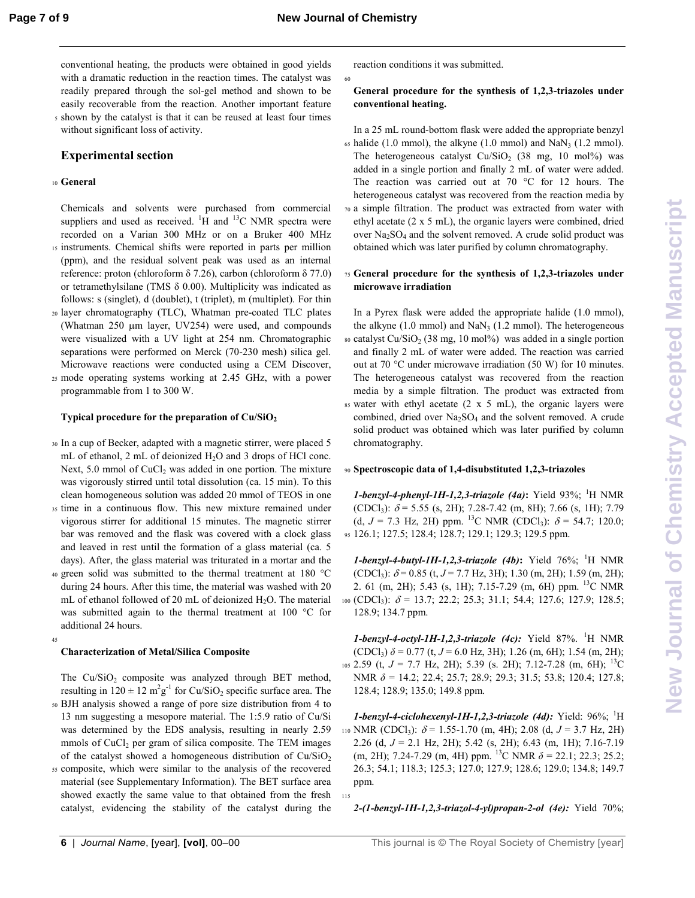60

115

conventional heating, the products were obtained in good yields with a dramatic reduction in the reaction times. The catalyst was readily prepared through the sol-gel method and shown to be easily recoverable from the reaction. Another important feature <sup>5</sup>shown by the catalyst is that it can be reused at least four times without significant loss of activity.

#### **Experimental section**

#### <sup>10</sup>**General**

Chemicals and solvents were purchased from commercial suppliers and used as received.  ${}^{1}H$  and  ${}^{13}C$  NMR spectra were recorded on a Varian 300 MHz or on a Bruker 400 MHz <sup>15</sup>instruments. Chemical shifts were reported in parts per million

- (ppm), and the residual solvent peak was used as an internal reference: proton (chloroform δ 7.26), carbon (chloroform δ 77.0) or tetramethylsilane (TMS  $\delta$  0.00). Multiplicity was indicated as follows: s (singlet), d (doublet), t (triplet), m (multiplet). For thin
- <sup>20</sup>layer chromatography (TLC), Whatman pre-coated TLC plates (Whatman 250 µm layer, UV254) were used, and compounds were visualized with a UV light at 254 nm. Chromatographic separations were performed on Merck (70-230 mesh) silica gel. Microwave reactions were conducted using a CEM Discover,
- <sup>25</sup>mode operating systems working at 2.45 GHz, with a power programmable from 1 to 300 W.

#### **Typical procedure for the preparation of Cu/SiO<sup>2</sup>**

- <sup>30</sup>In a cup of Becker, adapted with a magnetic stirrer, were placed 5 mL of ethanol,  $2 \text{ mL of deionized } H_2O$  and  $3 \text{ drops of } HCl$  conc. Next,  $5.0$  mmol of  $CuCl<sub>2</sub>$  was added in one portion. The mixture was vigorously stirred until total dissolution (ca. 15 min). To this clean homogeneous solution was added 20 mmol of TEOS in one
- <sup>35</sup>time in a continuous flow. This new mixture remained under vigorous stirrer for additional 15 minutes. The magnetic stirrer bar was removed and the flask was covered with a clock glass and leaved in rest until the formation of a glass material (ca. 5 days). After, the glass material was triturated in a mortar and the
- 40 green solid was submitted to the thermal treatment at 180 °C during 24 hours. After this time, the material was washed with 20 mL of ethanol followed of 20 mL of deionized  $H_2O$ . The material was submitted again to the thermal treatment at 100 °C for additional 24 hours.

#### **Characterization of Metal/Silica Composite**

45

The  $Cu/SiO<sub>2</sub>$  composite was analyzed through BET method, resulting in  $120 \pm 12 \text{ m}^2 \text{g}^{-1}$  for Cu/SiO<sub>2</sub> specific surface area. The

- <sup>50</sup>BJH analysis showed a range of pore size distribution from 4 to 13 nm suggesting a mesopore material. The 1:5.9 ratio of Cu/Si was determined by the EDS analysis, resulting in nearly 2.59 mmols of  $CuCl<sub>2</sub>$  per gram of silica composite. The TEM images of the catalyst showed a homogeneous distribution of  $Cu/SiO<sub>2</sub>$
- <sup>55</sup>composite, which were similar to the analysis of the recovered material (see Supplementary Information). The BET surface area showed exactly the same value to that obtained from the fresh catalyst, evidencing the stability of the catalyst during the

reaction conditions it was submitted.

#### **General procedure for the synthesis of 1,2,3-triazoles under conventional heating.**

In a 25 mL round-bottom flask were added the appropriate benzyl  $\epsilon$  halide (1.0 mmol), the alkyne (1.0 mmol) and NaN<sub>3</sub> (1.2 mmol). The heterogeneous catalyst  $Cu/SiO<sub>2</sub>$  (38 mg, 10 mol%) was added in a single portion and finally 2 mL of water were added. The reaction was carried out at 70 °C for 12 hours. The heterogeneous catalyst was recovered from the reaction media by <sup>70</sup>a simple filtration. The product was extracted from water with ethyl acetate (2 x 5 mL), the organic layers were combined, dried over  $Na<sub>2</sub>SO<sub>4</sub>$  and the solvent removed. A crude solid product was obtained which was later purified by column chromatography.

#### <sup>75</sup>**General procedure for the synthesis of 1,2,3-triazoles under microwave irradiation**

In a Pyrex flask were added the appropriate halide (1.0 mmol), the alkyne  $(1.0 \text{ mmol})$  and NaN<sub>3</sub>  $(1.2 \text{ mmol})$ . The heterogeneous so catalyst  $Cu/SiO<sub>2</sub>$  (38 mg, 10 mol%) was added in a single portion and finally 2 mL of water were added. The reaction was carried out at 70 °C under microwave irradiation (50 W) for 10 minutes. The heterogeneous catalyst was recovered from the reaction media by a simple filtration. The product was extracted from  $85$  water with ethyl acetate (2 x 5 mL), the organic layers were combined, dried over  $Na<sub>2</sub>SO<sub>4</sub>$  and the solvent removed. A crude solid product was obtained which was later purified by column chromatography.

#### <sup>90</sup>**Spectroscopic data of 1,4-disubstituted 1,2,3-triazoles**

*1-benzyl-4-phenyl-1H-1,2,3-triazole (4a)***:** Yield 93%; <sup>1</sup>H NMR (CDCl<sub>3</sub>):  $\delta$  = 5.55 (s, 2H); 7.28-7.42 (m, 8H); 7.66 (s, 1H); 7.79 (d,  $J = 7.3$  Hz, 2H) ppm. <sup>13</sup>C NMR (CDCl<sub>3</sub>):  $\delta = 54.7$ ; 120.0; <sup>95</sup>126.1; 127.5; 128.4; 128.7; 129.1; 129.3; 129.5 ppm.

*1-benzyl-4-butyl-1H-1,2,3-triazole (4b)***:** Yield 76%; <sup>1</sup>H NMR (CDCl<sub>3</sub>):  $\delta$  = 0.85 (t, *J* = 7.7 Hz, 3H); 1.30 (m, 2H); 1.59 (m, 2H); 2. 61 (m, 2H); 5.43 (s, 1H); 7.15-7.29 (m, 6H) ppm. <sup>13</sup>C NMR 100 (CDCl<sub>3</sub>):  $\delta$  = 13.7; 22.2; 25.3; 31.1; 54.4; 127.6; 127.9; 128.5; 128.9; 134.7 ppm.

 $1$ -benzyl-4-octyl-1H-1,2,3-triazole (4c): Yield 87%. <sup>1</sup>H NMR  $(CDCl<sub>3</sub>)$   $\delta$  = 0.77 (t, *J* = 6.0 Hz, 3H); 1.26 (m, 6H); 1.54 (m, 2H); 105 2.59 (t,  $J = 7.7$  Hz, 2H); 5.39 (s. 2H); 7.12-7.28 (m, 6H); <sup>13</sup>C NMR *δ* = 14.2; 22.4; 25.7; 28.9; 29.3; 31.5; 53.8; 120.4; 127.8; 128.4; 128.9; 135.0; 149.8 ppm.

*1-benzyl-4-ciclohexenyl-1H-1,2,3-triazole (4d):* Yield: 96%; <sup>1</sup>H 110 NMR (CDCl<sub>3</sub>):  $\delta$  = 1.55-1.70 (m, 4H); 2.08 (d, *J* = 3.7 Hz, 2H) 2.26 (d, *J* = 2.1 Hz, 2H); 5.42 (s, 2H); 6.43 (m, 1H); 7.16-7.19 (m, 2H); 7.24-7.29 (m, 4H) ppm. <sup>13</sup>C NMR  $\delta$  = 22.1; 22.3; 25.2; 26.3; 54.1; 118.3; 125.3; 127.0; 127.9; 128.6; 129.0; 134.8; 149.7 ppm.

*2-(1-benzyl-1H-1,2,3-triazol-4-yl)propan-2-ol (4e):* Yield 70%;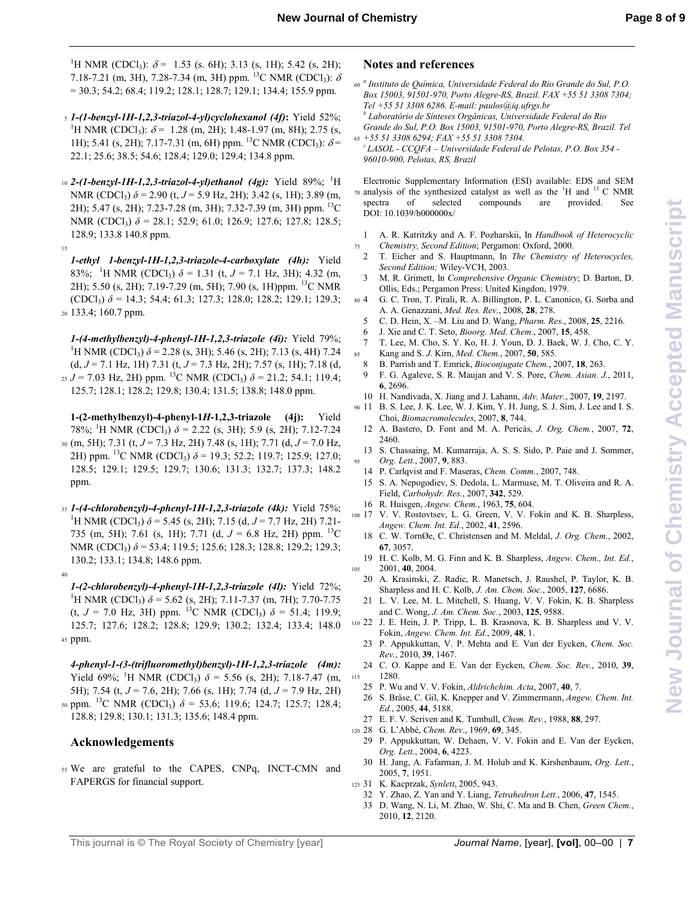<sup>1</sup>H NMR (CDCl<sub>3</sub>):  $\delta$  = 1.53 (s. 6H); 3.13 (s, 1H); 5.42 (s, 2H); 7.18-7.21 (m, 3H), 7.28-7.34 (m, 3H) ppm. <sup>13</sup>C NMR (CDCl<sub>3</sub>):  $\delta$  $= 30.3$ ; 54.2; 68.4; 119.2; 128.1; 128.7; 129.1; 134.4; 155.9 ppm.

- <sup>5</sup>*1-(1-benzyl-1H-1,2,3-triazol-4-yl)cyclohexanol (4f)***:** Yield 52%; <sup>1</sup>H NMR (CDCl<sub>3</sub>):  $\delta$  = 1.28 (m, 2H); 1.48-1.97 (m, 8H); 2.75 (s, 1H); 5.41 (s, 2H); 7.17-7.31 (m, 6H) ppm. <sup>13</sup>C NMR (CDCl<sub>3</sub>):  $\delta$ = 22.1; 25.6; 38.5; 54.6; 128.4; 129.0; 129.4; 134.8 ppm.
- 10 2-(1-benzyl-1H-1,2,3-triazol-4-yl)ethanol (4g): Yield 89%; <sup>1</sup>H NMR (CDCl<sub>3</sub>)  $\delta$  = 2.90 (t, *J* = 5.9 Hz, 2H); 3.42 (s, 1H); 3.89 (m, 2H); 5.47 (s, 2H); 7.23-7.28 (m, 3H); 7.32-7.39 (m, 3H) ppm. <sup>13</sup>C NMR (CDCl<sub>3</sub>) δ = 28.1; 52.9; 61.0; 126.9; 127.6; 127.8; 128.5; 128.9; 133.8 140.8 ppm.

15

40

*1-ethyl 1-benzyl-1H-1,2,3-triazole-4-carboxylate (4h):* Yield 83%; <sup>1</sup>H NMR (CDCl<sub>3</sub>)  $\delta$  = 1.31 (t, *J* = 7.1 Hz, 3H); 4.32 (m, 2H); 5.50 (s, 2H); 7.19-7.29 (m, 5H); 7.90 (s, 1H)ppm. <sup>13</sup>C NMR (CDCl<sup>3</sup> ) *δ* = 14.3; 54.4; 61.3; 127.3; 128.0; 128.2; 129.1; 129.3; <sup>20</sup>133.4; 160.7 ppm.

*1-(4-methylbenzyl)-4-phenyl-1H-1,2,3-triazole (4i):* Yield 79%; <sup>1</sup>H NMR (CDCl<sub>3</sub>)  $\delta$  = 2.28 (s, 3H); 5.46 (s, 2H); 7.13 (s, 4H) 7.24 (d,  $J = 7.1$  Hz, 1H) 7.31 (t,  $J = 7.3$  Hz, 2H); 7.57 (s, 1H); 7.18 (d,  $<sub>25</sub> J = 7.03$  Hz, 2H) ppm. <sup>13</sup>C NMR (CDCl<sub>3</sub>)  $δ = 21.2$ ; 54.1; 119.4;</sub> 125.7; 128.1; 128.2; 129.8; 130.4; 131.5; 138.8; 148.0 ppm.

**1-(2-methylbenzyl)-4-phenyl-1***H***-1,2,3-triazole (4j):** Yield 78%; <sup>1</sup>H NMR (CDCl<sub>3</sub>)  $\delta$  = 2.22 (s, 3H); 5.9 (s, 2H); 7.12-7.24 <sup>30</sup>(m, 5H); 7.31 (t, *J* = 7.3 Hz, 2H) 7.48 (s, 1H); 7.71 (d, *J* = 7.0 Hz, 2H) ppm. <sup>13</sup>C NMR (CDCl<sub>3</sub>)  $\delta$  = 19.3; 52.2; 119.7; 125.9; 127.0; 128.5; 129.1; 129.5; 129.7; 130.6; 131.3; 132.7; 137.3; 148.2 ppm.

<sup>35</sup>*1-(4-chlorobenzyl)-4-phenyl-1H-1,2,3-triazole (4k):* Yield 75%; <sup>1</sup>H NMR (CDCl<sub>3</sub>)  $\delta$  = 5.45 (s, 2H); 7.15 (d, *J* = 7.7 Hz, 2H) 7.21-735 (m, 5H); 7.61 (s, 1H); 7.71 (d, *J* = 6.8 Hz, 2H) ppm. <sup>13</sup>C NMR (CDCl<sub>3</sub>)  $\delta$  = 53.4; 119.5; 125.6; 128.3; 128.8; 129.2; 129.3; 130.2; 133.1; 134.8; 148.6 ppm.

*1-(2-chlorobenzyl)-4-phenyl-1H-1,2,3-triazole (4l):* Yield 72%; <sup>1</sup>H NMR (CDCl<sub>3</sub>)  $\delta$  = 5.62 (s, 2H); 7.11-7.37 (m, 7H); 7.70-7.75 (t,  $J = 7.0$  Hz, 3H) ppm. <sup>13</sup>C NMR (CDCl<sub>3</sub>)  $\delta = 51.4$ ; 119.9; 125.7; 127.6; 128.2; 128.8; 129.9; 130.2; 132.4; 133.4; 148.0 45 ppm.

*4-phenyl-1-(3-(trifluoromethyl)benzyl)-1H-1,2,3-triazole (4m):* Yield 69%; <sup>1</sup>H NMR (CDCl<sub>3</sub>)  $\delta$  = 5.56 (s, 2H); 7.18-7.47 (m, 5H); 7.54 (t, *J* = 7.6, 2H); 7.66 (s, 1H); 7.74 (d, *J* = 7.9 Hz, 2H) <sub>50</sub> ppm. <sup>13</sup>C NMR (CDCl<sub>3</sub>)  $\delta$  = 53.6; 119.6; 124.7; 125.7; 128.4; 128.8; 129.8; 130.1; 131.3; 135.6; 148.4 ppm.

#### **Acknowledgements**

<sup>55</sup>We are grateful to the CAPES, CNPq, INCT-CMN and FAPERGS for financial support.

#### **Notes and references**

- *a* <sup>60</sup>*Instituto de Química, Universidade Federal do Rio Grande do Sul, P.O. Box 15003, 91501-970, Porto Alegre-RS, Brazil. FAX +55 51 3308 7304; Tel +55 51 3308 6286. E-mail: paulos@iq.ufrgs.br b Laboratório de Sínteses Orgânicas, Universidade Federal do Rio Grande do Sul, P.O. Box 15003, 91501-970, Porto Alegre-RS, Brazil. Tel*  <sup>65</sup>*+55 51 3308 6294; FAX +55 51 3308 7304.*
- *<sup>c</sup>LASOL CCQFA Universidade Federal de Pelotas, P.O. Box 354 - 96010-900, Pelotas, RS, Brazil*

Electronic Supplementary Information (ESI) available: EDS and SEM  $70$  analysis of the synthesized catalyst as well as the  $^{1}$ H and  $^{13}$  C NMR spectra of selected compounds are provided. See DOI: 10.1039/b0000000x/

- 1 A. R. Katritzky and A. F. Pozharskii, In *Handbook of Heterocyclic*  <sup>75</sup>*Chemistry, Second Edition*; Pergamon: Oxford, 2000.
- 2 T. Eicher and S. Hauptmann, In *The Chemistry of Heterocycles, Second Edition;* Wiley-VCH, 2003.
- 3 M. R. Grimett, In *Comprehensive Organic Chemistry*; D. Barton, D. Ollis, Eds.; Pergamon Press: United Kingdon, 1979.
- <sup>80</sup>4 G. C. Tron, T. Pirali, R. A. Billington, P. L. Canonico, G. Sorba and A. A. Genazzani, *Med. Res. Rev.*, 2008, **28**, 278.
	- 5 C. D. Hein, X. –M. Liu and D. Wang, *Pharm. Res.*, 2008, **25**, 2216.
	- 6 J. Xie and C. T. Seto, *Bioorg. Med. Chem.*, 2007, **15**, 458.
- 7 T. Lee, M. Cho, S. Y. Ko, H. J. Youn, D. J. Baek, W. J. Cho, C. Y. <sup>85</sup>Kang and S. *J.* Kirn, *Med. Chem.*, 2007, **50**, 585.
	- 8 B. Parrish and T. Emrick, *Bioconjugate Chem.*, 2007, **18**, 263. 9 F. G. Agaleve, S. R. Maujan and V. S. Pore, *Chem. Asian. J.*, 2011,
- **6**, 2696. 10 H. Nandivada, X. Jiang and J. Lahann, *Adv. Mater.*, 2007, **19**, 2197.
- <sup>90</sup>11 B. S. Lee, J. K. Lee, W. J. Kim, Y. H. Jung, S. J. Sim, J. Lee and I. S. Choi, *Biomacromolecules*, 2007, **8**, 744.
- 12 A. Bastero, D. Font and M. A. Pericàs, *J. Org. Chem.*, 2007, **72**, 2460.
- 13 S. Chassaing, M. Kumarraja, A. S. S. Sido, P. Paie and J. Sommer, <sup>95</sup>*Org. Lett.*, 2007, **9**, 883.
- 14 P. Carlqvist and F. Maseras, *Chem. Comm.*, 2007, 748.
- 15 S. A. Nepogodiev, S. Dedola, L. Marmuse, M. T. Oliveira and R. A. Field, *Carbohydr. Res.*, 2007, **342**, 529.
- 16 R. Huisgen, *Angew. Chem.*, 1963, **75**, 604.
- <sup>100</sup>17 V. V. Rostovtsev, L. G. Green, V. V. Fokin and K. B. Sharpless, *Angew. Chem. Int. Ed.*, 2002, **41**, 2596.
	- 18 C. W. TornØe, C. Christensen and M. Meldal, *J. Org. Chem*., 2002, **67**, 3057.
- 19 H. C. Kolb, M. G. Finn and K. B. Sharpless, *Angew. Chem., Int. Ed.*, 105 2001, **40**, 2004.
	- 20 A. Krasinski, Z. Radic, R. Manetsch, J. Raushel, P. Taylor, K. B. Sharpless and H. C. Kolb, *J. Am. Chem. Soc.*, 2005, **127**, 6686.
	- 21 L. V. Lee, M. L. Mitchell, S. Huang, V. V. Fokin, K. B. Sharpless and C. Wong, *J. Am. Chem. Soc.*, 2003, **125**, 9588.
- <sup>110</sup>22 J. E. Hein, J. P. Tripp, L. B. Krasnova, K. B. Sharpless and V. V. Fokin, *Angew. Chem. Int. Ed.*, 2009, **48**, 1.
	- 23 P. Appukkuttan, V. P. Mehta and E. Van der Eycken, *Chem. Soc. Rev.*, 2010, **39**, 1467.
- 24 C. O. Kappe and E. Van der Eycken, *Chem. Soc. Rev.*, 2010, **39**, 115 1280.
	- 25 P. Wu and V. V. Fokin, *Aldrichchim. Acta*, 2007, **40**, 7.
	- 26 S. Bräse, C. Gil, K. Knepper and V. Zimmermann, *Angew. Chem. Int. Ed.*, 2005, **44**, 5188.
	- 27 E. F. V. Scriven and K. Tumbull, *Chem. Rev.*, 1988, **88**, 297.
- <sup>120</sup>28 G. L'Abbé, *Chem. Rev.*, 1969, **69**, 345.
	- 29 P. Appukkuttan, W. Dehaen, V. V. Fokin and E. Van der Eycken, *Org. Lett.*, 2004, **6**, 4223.
	- 30 H. Jang, A. Fafarman, J. M. Holub and K. Kirshenbaum, *Org. Lett.*, 2005, **7**, 1951.
- <sup>125</sup>31 K. Kacprzak, *Synlett*, 2005, 943.
	- 32 Y. Zhao, Z. Yan and Y. Liang, *Tetrahedron Lett.*, 2006, **47**, 1545.
	- 33 D. Wang, N. Li, M. Zhao, W. Shi, C. Ma and B. Chen, *Green Chem.*, 2010, **12**, 2120.